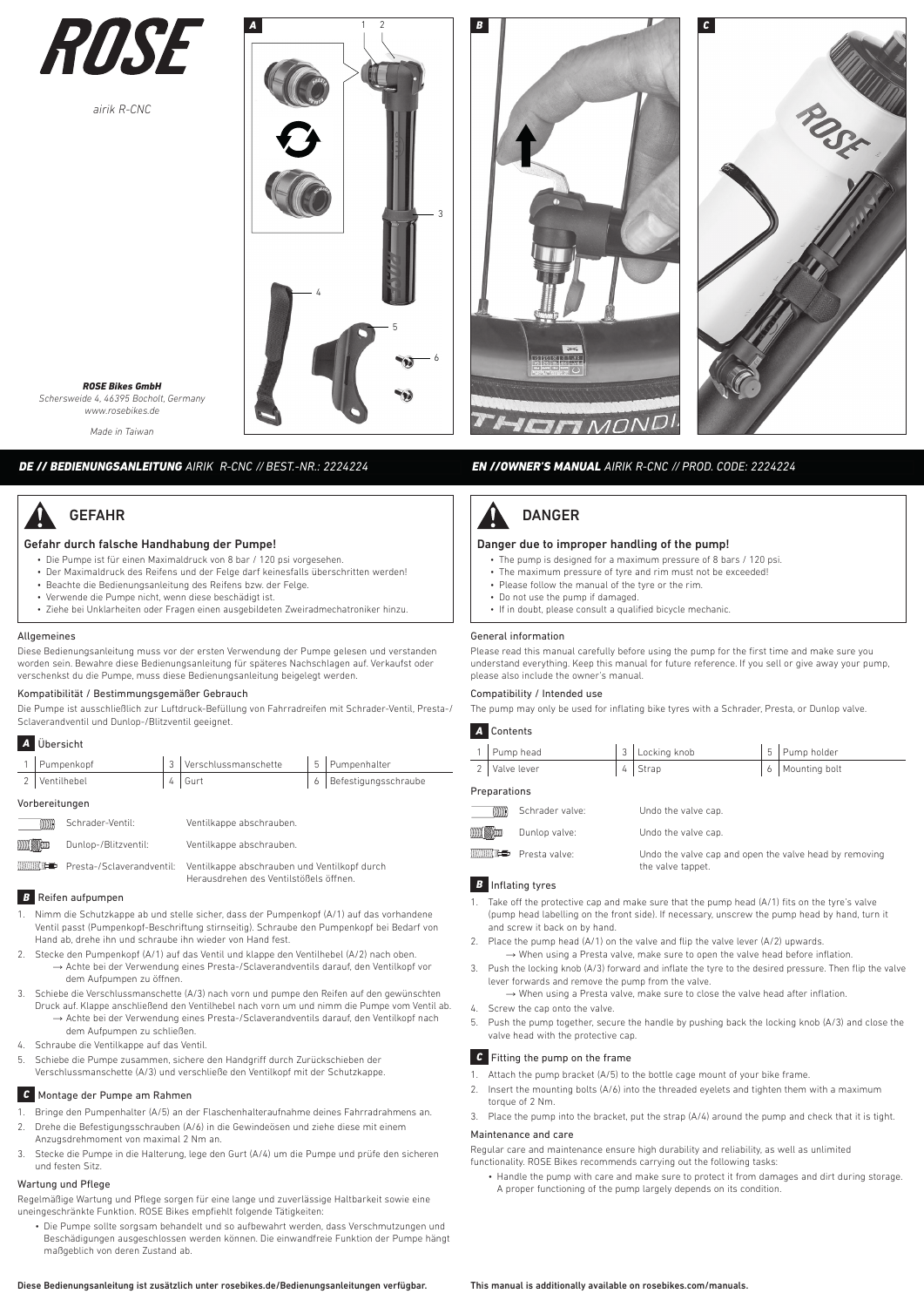

*airik R-CNC*

*ROSE Bikes GmbH Schersweide 4, 46395 Bocholt, Germany www.rosebikes.de Made in Taiwan*

GEFAHR



*A* 2 *B C* HEIFIMOND



# *EN //OWNER'S MANUAL AIRIK R-CNC // PROD. CODE: 2224224*

# Gefahr durch falsche Handhabung der Pumpe!

*DE // BEDIENUNGSANLEITUNG AIRIK R-CNC // BEST.-NR.: 2224224*

- Die Pumpe ist für einen Maximaldruck von 8 bar / 120 psi vorgesehen.
- Der Maximaldruck des Reifens und der Felge darf keinesfalls überschritten werden!
- Beachte die Bedienungsanleitung des Reifens bzw. der Felge. • Verwende die Pumpe nicht, wenn diese beschädigt ist.
- Ziehe bei Unklarheiten oder Fragen einen ausgebildeten Zweiradmechatroniker hinzu.

### Allgemeines

Diese Bedienungsanleitung muss vor der ersten Verwendung der Pumpe gelesen und verstanden worden sein. Bewahre diese Bedienungsanleitung für späteres Nachschlagen auf. Verkaufst oder verschenkst du die Pumpe, muss diese Bedienungsanleitung beigelegt werden.

### Kompatibilität / Bestimmungsgemäßer Gebrauch

Die Pumpe ist ausschließlich zur Luftdruck-Befüllung von Fahrradreifen mit Schrader-Ventil, Presta-/ Sclaverandventil und Dunlop-/Blitzventil geeignet.

| A Übersicht    |  |                          |  |                        |  |
|----------------|--|--------------------------|--|------------------------|--|
| 1 Pumpenkopf   |  | 3   Verschlussmanschette |  | 5 Pumpenhalter         |  |
| 2 Ventilhebel  |  | $4$   Gurt               |  | 6 Befestigungsschraube |  |
| Vorbereitungen |  |                          |  |                        |  |

|  | vui bei eitungen |  |
|--|------------------|--|
|  |                  |  |

| <b>CONTROL</b>      | Schrader-Ventil:     | Ventilkappe abschrauben.                                                                    |
|---------------------|----------------------|---------------------------------------------------------------------------------------------|
| <b>MINI Company</b> | Dunlop-/Blitzventil: | Ventilkappe abschrauben.                                                                    |
|                     |                      | <b>IIIIIIIIIIIE雪</b> Presta-/Sclaverandventil: Ventilkappe abschrauben und Ventilkopf durch |

Herausdrehen des Ventilstößels öffnen.

### **B** Reifen aufnumnen

- 1. Nimm die Schutzkappe ab und stelle sicher, dass der Pumpenkopf (A/1) auf das vorhandene Ventil passt (Pumpenkopf-Beschriftung stirnseitig). Schraube den Pumpenkopf bei Bedarf von Hand ab, drehe ihn und schraube ihn wieder von Hand fest.
- 2. Stecke den Pumpenkopf (A/1) auf das Ventil und klappe den Ventilhebel (A/2) nach oben. → Achte bei der Verwendung eines Presta-/Sclaverandventils darauf, den Ventilkopf vor dem Aufpumpen zu öffnen.
- 3. Schiebe die Verschlussmanschette (A/3) nach vorn und pumpe den Reifen auf den gewünschten Druck auf. Klappe anschließend den Ventilhebel nach vorn um und nimm die Pumpe vom Ventil ab. → Achte bei der Verwendung eines Presta-/Sclaverandventils darauf, den Ventilkopf nach dem Aufpumpen zu schließen.
- 4. Schraube die Ventilkappe auf das Ventil.
- 5. Schiebe die Pumpe zusammen, sichere den Handgriff durch Zurückschieben der Verschlussmanschette (A/3) und verschließe den Ventilkopf mit der Schutzkappe.

### *C* Montage der Pumpe am Rahmen

- 1. Bringe den Pumpenhalter (A/5) an der Flaschenhalteraufnahme deines Fahrradrahmens an.
- 2. Drehe die Befestigungsschrauben (A/6) in die Gewindeösen und ziehe diese mit einem
- Anzugsdrehmoment von maximal 2 Nm an.
- 3. Stecke die Pumpe in die Halterung, lege den Gurt (A/4) um die Pumpe und prüfe den sicheren und festen Sitz.

# Wartung und Pflege

Regelmäßige Wartung und Pflege sorgen für eine lange und zuverlässige Haltbarkeit sowie eine uneingeschränkte Funktion. ROSE Bikes empfiehlt folgende Tätigkeiten:

• Die Pumpe sollte sorgsam behandelt und so aufbewahrt werden, dass Verschmutzungen und Beschädigungen ausgeschlossen werden können. Die einwandfreie Funktion der Pumpe hängt maßgeblich von deren Zustand ab.

# Diese Bedienungsanleitung ist zusätzlich unter rosebikes.de/Bedienungsanleitungen verfügbar.

# DANGER

## Danger due to improper handling of the pump!

- The pump is designed for a maximum pressure of 8 bars / 120 psi.
- The maximum pressure of tyre and rim must not be exceeded!
- Please follow the manual of the tyre or the rim. • Do not use the pump if damaged.
- If in doubt, please consult a qualified bicycle mechanic.
- 

# General information

Please read this manual carefully before using the pump for the first time and make sure you understand everything. Keep this manual for future reference. If you sell or give away your pump, please also include the owner's manual.

### Compatibility / Intended use

The pump may only be used for inflating bike tyres with a Schrader, Presta, or Dunlop valve.

# *A* Contents

|                  |                              | Pump head                            | 3 | Locking knob                                                                | 5 | Pump holder   |  |
|------------------|------------------------------|--------------------------------------|---|-----------------------------------------------------------------------------|---|---------------|--|
| $\mathfrak{D}$   |                              | Valve lever                          |   | Strap                                                                       | 6 | Mounting bolt |  |
|                  | Preparations                 |                                      |   |                                                                             |   |               |  |
|                  | <b>ANTANA</b>                | Schrader valve:                      |   | Undo the valve cap.                                                         |   |               |  |
| WWW. ENGINEERING |                              | Dunlop valve:<br>Undo the valve cap. |   |                                                                             |   |               |  |
|                  | <b>MANAGEMENT MANAGEMENT</b> | Presta valve:                        |   | Undo the valve cap and open the valve head by removing<br>the valve tappet. |   |               |  |

## *B* Inflating tyres

- Take off the protective cap and make sure that the pump head (A/1) fits on the tyre's valve (pump head labelling on the front side). If necessary, unscrew the pump head by hand, turn it and screw it back on by hand.
- 2. Place the pump head (A/1) on the valve and flip the valve lever (A/2) upwards. → When using a Presta valve, make sure to open the valve head before inflation.
- 3. Push the locking knob (A/3) forward and inflate the tyre to the desired pressure. Then flip the valve lever forwards and remove the pump from the valve.
- $\rightarrow$  When using a Presta valve, make sure to close the valve head after inflation.
- 4. Screw the cap onto the valve.
- 5. Push the pump together, secure the handle by pushing back the locking knob (A/3) and close the valve head with the protective cap.

### **C** Fitting the pump on the frame

- 1. Attach the pump bracket (A/5) to the bottle cage mount of your bike frame.
- 2. Insert the mounting bolts (A/6) into the threaded eyelets and tighten them with a maximum torque of 2 Nm.
- 3. Place the pump into the bracket, put the strap (A/4) around the pump and check that it is tight. Maintenance and care

Regular care and maintenance ensure high durability and reliability, as well as unlimited functionality. ROSE Bikes recommends carrying out the following tasks:

• Handle the pump with care and make sure to protect it from damages and dirt during storage. A proper functioning of the pump largely depends on its condition.